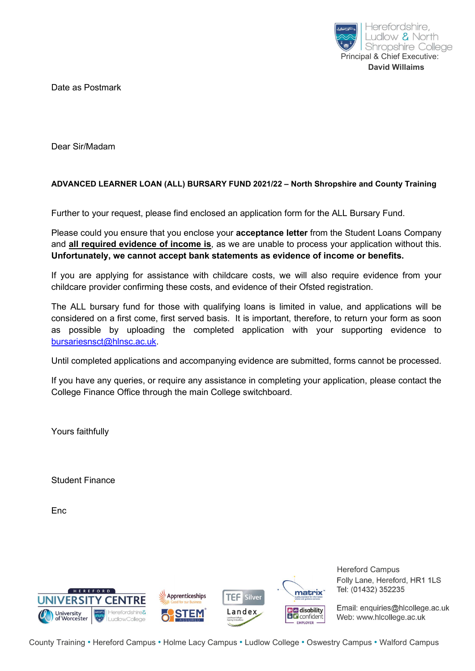

Date as Postmark

Dear Sir/Madam

### ADVANCED LEARNER LOAN (ALL) BURSARY FUND 2021/22 – North Shropshire and County Training

Further to your request, please find enclosed an application form for the ALL Bursary Fund.

Please could you ensure that you enclose your **acceptance letter** from the Student Loans Company and all required evidence of income is, as we are unable to process your application without this. Unfortunately, we cannot accept bank statements as evidence of income or benefits.

If you are applying for assistance with childcare costs, we will also require evidence from your childcare provider confirming these costs, and evidence of their Ofsted registration.

The ALL bursary fund for those with qualifying loans is limited in value, and applications will be considered on a first come, first served basis. It is important, therefore, to return your form as soon as possible by uploading the completed application with your supporting evidence to bursariesnsct@hlnsc.ac.uk.

Until completed applications and accompanying evidence are submitted, forms cannot be processed.

If you have any queries, or require any assistance in completing your application, please contact the College Finance Office through the main College switchboard.

Yours faithfully

Student Finance

**Enc** 



Hereford Campus Folly Lane, Hereford, HR1 1LS Tel: (01432) 352235

Email: enquiries@hlcollege.ac.uk Web: www.hlcollege.ac.uk

County Training • Hereford Campus • Holme Lacy Campus • Ludlow College • Oswestry Campus • Walford Campus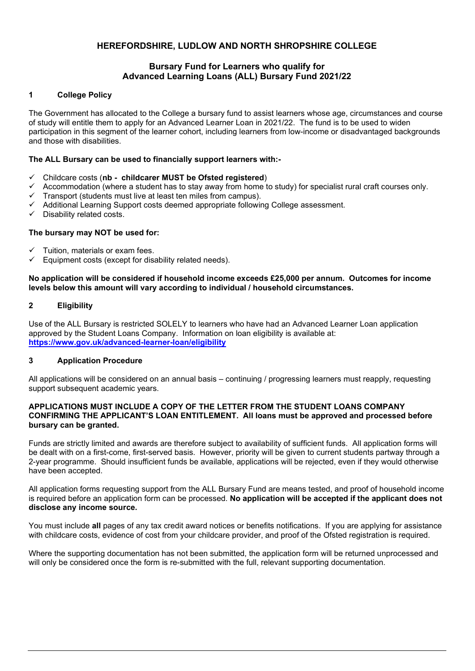### HEREFORDSHIRE, LUDLOW AND NORTH SHROPSHIRE COLLEGE

#### Bursary Fund for Learners who qualify for Advanced Learning Loans (ALL) Bursary Fund 2021/22

#### 1 College Policy

The Government has allocated to the College a bursary fund to assist learners whose age, circumstances and course of study will entitle them to apply for an Advanced Learner Loan in 2021/22. The fund is to be used to widen participation in this segment of the learner cohort, including learners from low-income or disadvantaged backgrounds and those with disabilities.

#### The ALL Bursary can be used to financially support learners with:-

- $\checkmark$  Childcare costs (nb childcarer MUST be Ofsted registered)
- Accommodation (where a student has to stay away from home to study) for specialist rural craft courses only.
- $\checkmark$  Transport (students must live at least ten miles from campus).
- $\checkmark$  Additional Learning Support costs deemed appropriate following College assessment.
- $\checkmark$  Disability related costs.

#### The bursary may NOT be used for:

- Tuition, materials or exam fees.
- $\checkmark$  Equipment costs (except for disability related needs).

#### No application will be considered if household income exceeds £25,000 per annum. Outcomes for income levels below this amount will vary according to individual / household circumstances.

#### 2 Eligibility

Use of the ALL Bursary is restricted SOLELY to learners who have had an Advanced Learner Loan application approved by the Student Loans Company. Information on loan eligibility is available at: https://www.gov.uk/advanced-learner-loan/eligibility

#### 3 Application Procedure

All applications will be considered on an annual basis – continuing / progressing learners must reapply, requesting support subsequent academic years.

#### APPLICATIONS MUST INCLUDE A COPY OF THE LETTER FROM THE STUDENT LOANS COMPANY CONFIRMING THE APPLICANT'S LOAN ENTITLEMENT. All loans must be approved and processed before bursary can be granted.

Funds are strictly limited and awards are therefore subject to availability of sufficient funds. All application forms will be dealt with on a first-come, first-served basis. However, priority will be given to current students partway through a 2-year programme. Should insufficient funds be available, applications will be rejected, even if they would otherwise have been accepted.

All application forms requesting support from the ALL Bursary Fund are means tested, and proof of household income is required before an application form can be processed. No application will be accepted if the applicant does not disclose any income source.

You must include all pages of any tax credit award notices or benefits notifications. If you are applying for assistance with childcare costs, evidence of cost from your childcare provider, and proof of the Ofsted registration is required.

Where the supporting documentation has not been submitted, the application form will be returned unprocessed and will only be considered once the form is re-submitted with the full, relevant supporting documentation.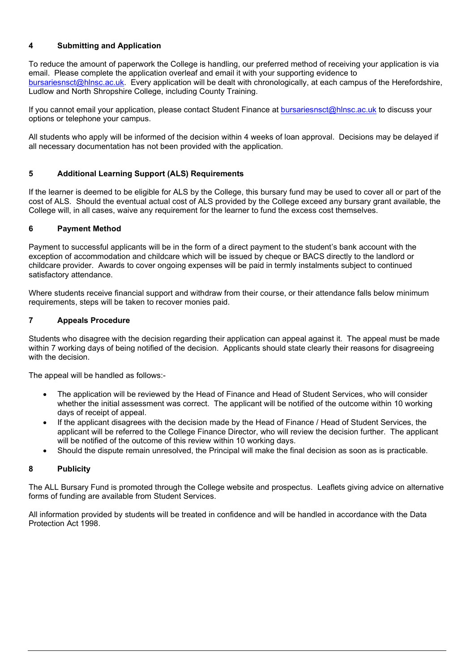#### 4 Submitting and Application

To reduce the amount of paperwork the College is handling, our preferred method of receiving your application is via email. Please complete the application overleaf and email it with your supporting evidence to bursariesnsct@hlnsc.ac.uk. Every application will be dealt with chronologically, at each campus of the Herefordshire, Ludlow and North Shropshire College, including County Training.

If you cannot email your application, please contact Student Finance at bursariesnsct@hlnsc.ac.uk to discuss your options or telephone your campus.

All students who apply will be informed of the decision within 4 weeks of loan approval. Decisions may be delayed if all necessary documentation has not been provided with the application.

#### 5 Additional Learning Support (ALS) Requirements

If the learner is deemed to be eligible for ALS by the College, this bursary fund may be used to cover all or part of the cost of ALS. Should the eventual actual cost of ALS provided by the College exceed any bursary grant available, the College will, in all cases, waive any requirement for the learner to fund the excess cost themselves.

#### 6 Payment Method

Payment to successful applicants will be in the form of a direct payment to the student's bank account with the exception of accommodation and childcare which will be issued by cheque or BACS directly to the landlord or childcare provider. Awards to cover ongoing expenses will be paid in termly instalments subject to continued satisfactory attendance.

Where students receive financial support and withdraw from their course, or their attendance falls below minimum requirements, steps will be taken to recover monies paid.

#### 7 Appeals Procedure

Students who disagree with the decision regarding their application can appeal against it. The appeal must be made within 7 working days of being notified of the decision. Applicants should state clearly their reasons for disagreeing with the decision

The appeal will be handled as follows:-

- The application will be reviewed by the Head of Finance and Head of Student Services, who will consider whether the initial assessment was correct. The applicant will be notified of the outcome within 10 working days of receipt of appeal.
- If the applicant disagrees with the decision made by the Head of Finance / Head of Student Services, the applicant will be referred to the College Finance Director, who will review the decision further. The applicant will be notified of the outcome of this review within 10 working days.
- Should the dispute remain unresolved, the Principal will make the final decision as soon as is practicable.

#### 8 Publicity

The ALL Bursary Fund is promoted through the College website and prospectus. Leaflets giving advice on alternative forms of funding are available from Student Services.

All information provided by students will be treated in confidence and will be handled in accordance with the Data Protection Act 1998.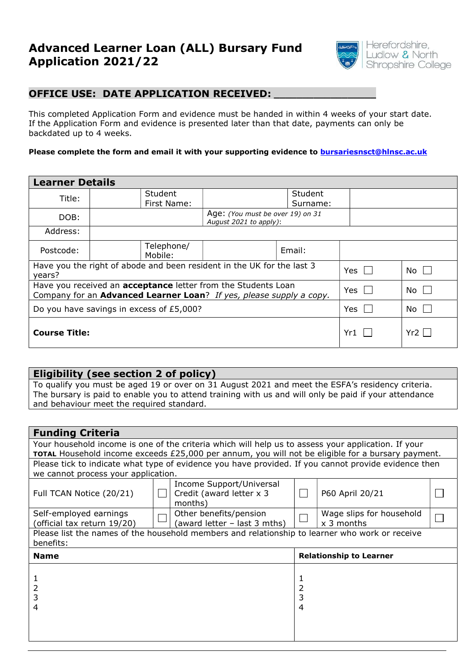# Advanced Learner Loan (ALL) Bursary Fund Application 2021/22



## OFFICE USE: DATE APPLICATION RECEIVED:

This completed Application Form and evidence must be handed in within 4 weeks of your start date. If the Application Form and evidence is presented later than that date, payments can only be backdated up to 4 weeks.

#### Please complete the form and email it with your supporting evidence to **bursariesnsct@hlnsc.ac.uk**

| <b>Learner Details</b>                                                                                                                      |                       |                                                            |  |  |  |  |  |  |  |
|---------------------------------------------------------------------------------------------------------------------------------------------|-----------------------|------------------------------------------------------------|--|--|--|--|--|--|--|
| Title:                                                                                                                                      | <b>Student</b>        | Student                                                    |  |  |  |  |  |  |  |
|                                                                                                                                             | First Name:           | Surname:                                                   |  |  |  |  |  |  |  |
| DOB:                                                                                                                                        |                       | Age: (You must be over 19) on 31<br>August 2021 to apply): |  |  |  |  |  |  |  |
| Address:                                                                                                                                    |                       |                                                            |  |  |  |  |  |  |  |
| Postcode:                                                                                                                                   | Telephone/<br>Mobile: | Email:                                                     |  |  |  |  |  |  |  |
| Have you the right of abode and been resident in the UK for the last 3<br>years?                                                            | Yes $\Box$            | $No$ $\Box$                                                |  |  |  |  |  |  |  |
| Have you received an <b>acceptance</b> letter from the Students Loan<br>Company for an Advanced Learner Loan? If yes, please supply a copy. | Yes                   | No                                                         |  |  |  |  |  |  |  |
| Do you have savings in excess of £5,000?                                                                                                    | Yes                   | No                                                         |  |  |  |  |  |  |  |
| <b>Course Title:</b>                                                                                                                        | Yr1                   | Yr2                                                        |  |  |  |  |  |  |  |

# Eligibility (see section 2 of policy) To qualify you must be aged 19 or over on 31 August 2021 and meet the ESFA's residency criteria. The bursary is paid to enable you to attend training with us and will only be paid if your attendance and behaviour meet the required standard.

| <b>Funding Criteria</b>                                                                                  |  |                                                      |                                |                          |  |  |  |  |  |
|----------------------------------------------------------------------------------------------------------|--|------------------------------------------------------|--------------------------------|--------------------------|--|--|--|--|--|
| Your household income is one of the criteria which will help us to assess your application. If your      |  |                                                      |                                |                          |  |  |  |  |  |
| <b>TOTAL</b> Household income exceeds £25,000 per annum, you will not be eligible for a bursary payment. |  |                                                      |                                |                          |  |  |  |  |  |
| Please tick to indicate what type of evidence you have provided. If you cannot provide evidence then     |  |                                                      |                                |                          |  |  |  |  |  |
| we cannot process your application.                                                                      |  |                                                      |                                |                          |  |  |  |  |  |
| Full TCAN Notice (20/21)                                                                                 |  | Income Support/Universal<br>Credit (award letter x 3 |                                | P60 April 20/21          |  |  |  |  |  |
|                                                                                                          |  | months)                                              |                                |                          |  |  |  |  |  |
| Self-employed earnings                                                                                   |  | Other benefits/pension                               |                                | Wage slips for household |  |  |  |  |  |
| (official tax return 19/20)                                                                              |  | (award letter - last 3 mths)                         |                                | $x$ 3 months             |  |  |  |  |  |
| Please list the names of the household members and relationship to learner who work or receive           |  |                                                      |                                |                          |  |  |  |  |  |
| benefits:                                                                                                |  |                                                      |                                |                          |  |  |  |  |  |
| <b>Name</b>                                                                                              |  |                                                      | <b>Relationship to Learner</b> |                          |  |  |  |  |  |
|                                                                                                          |  |                                                      |                                |                          |  |  |  |  |  |
|                                                                                                          |  |                                                      |                                |                          |  |  |  |  |  |
| 2                                                                                                        |  |                                                      |                                |                          |  |  |  |  |  |
| 3                                                                                                        |  |                                                      | 3                              |                          |  |  |  |  |  |
| 4                                                                                                        |  |                                                      | 4                              |                          |  |  |  |  |  |
|                                                                                                          |  |                                                      |                                |                          |  |  |  |  |  |
|                                                                                                          |  |                                                      |                                |                          |  |  |  |  |  |
|                                                                                                          |  |                                                      |                                |                          |  |  |  |  |  |